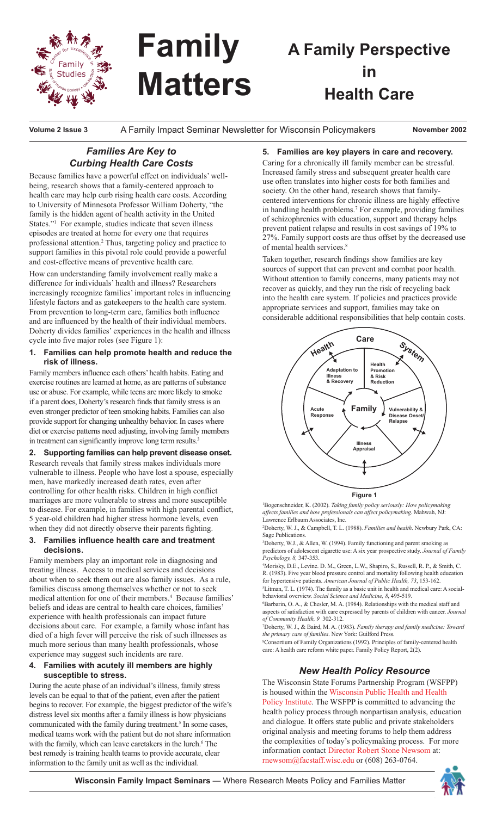

# **Family Matters**

# **A Family Perspective in Health Care**

**Volume 2 Issue 3**  A Family Impact Seminar Newsletter for Wisconsin Policymakers **November 2002**

## *Families Are Key to Curbing Health Care Costs*

Because families have a powerful effect on individuals' wellbeing, research shows that a family-centered approach to health care may help curb rising health care costs. According to University of Minnesota Professor William Doherty, "the family is the hidden agent of health activity in the United States."<sup>1</sup> For example, studies indicate that seven illness episodes are treated at home for every one that requires professional attention.2 Thus, targeting policy and practice to support families in this pivotal role could provide a powerful and cost-effective means of preventive health care.

How can understanding family involvement really make a difference for individuals' health and illness? Researchers increasingly recognize families' important roles in influencing lifestyle factors and as gatekeepers to the health care system. From prevention to long-term care, families both influence and are influenced by the health of their individual members. Doherty divides families' experiences in the health and illness cycle into five major roles (see Figure 1):

#### **1. Families can help promote health and reduce the risk of illness.**

Family members influence each others' health habits. Eating and exercise routines are learned at home, as are patterns of substance use or abuse. For example, while teens are more likely to smoke if a parent does, Doherty's research finds that family stress is an even stronger predictor of teen smoking habits. Families can also provide support for changing unhealthy behavior. In cases where diet or exercise patterns need adjusting, involving family members in treatment can significantly improve long term results.<sup>3</sup>

#### **2. Supporting families can help prevent disease onset.**

Research reveals that family stress makes individuals more vulnerable to illness. People who have lost a spouse, especially men, have markedly increased death rates, even after controlling for other health risks. Children in high conflict marriages are more vulnerable to stress and more susceptible to disease. For example, in families with high parental conflict, 5 year-old children had higher stress hormone levels, even when they did not directly observe their parents fighting.

#### **3. Families influence health care and treatment decisions.**

Family members play an important role in diagnosing and treating illness. Access to medical services and decisions about when to seek them out are also family issues. As a rule, families discuss among themselves whether or not to seek medical attention for one of their members.<sup>4</sup> Because families' beliefs and ideas are central to health care choices, families' experience with health professionals can impact future decisions about care. For example, a family whose infant has died of a high fever will perceive the risk of such illnesses as much more serious than many health professionals, whose experience may suggest such incidents are rare.

#### **4. Families with acutely ill members are highly susceptible to stress.**

During the acute phase of an individual's illness, family stress levels can be equal to that of the patient, even after the patient begins to recover. For example, the biggest predictor of the wife's distress level six months after a family illness is how physicians communicated with the family during treatment.<sup>5</sup> In some cases, medical teams work with the patient but do not share information with the family, which can leave caretakers in the lurch.<sup>6</sup> The best remedy is training health teams to provide accurate, clear information to the family unit as well as the individual.

#### **5. Families are key players in care and recovery.**

Caring for a chronically ill family member can be stressful. Increased family stress and subsequent greater health care use often translates into higher costs for both families and society. On the other hand, research shows that familycentered interventions for chronic illness are highly effective in handling health problems.7 For example, providing families of schizophrenics with education, support and therapy helps prevent patient relapse and results in cost savings of 19% to 27%. Family support costs are thus offset by the decreased use of mental health services.<sup>8</sup>

Taken together, research findings show families are key sources of support that can prevent and combat poor health. Without attention to family concerns, many patients may not recover as quickly, and they run the risk of recycling back into the health care system. If policies and practices provide appropriate services and support, families may take on considerable additional responsibilities that help contain costs.



**Figure 1**

1 Bogenschneider, K. (2002). *Taking family policy seriously: How policymaking affects families and how professionals can affect policymaking*. Mahwah, NJ: Lawrence Erlbaum Associates, Inc.

2 Doherty, W. J., & Campbell, T. L. (1988). *Families and health*. Newbury Park, CA: Sage Publications.

3 Doherty, W.J., & Allen, W. (1994). Family functioning and parent smoking as predictors of adolescent cigarette use: A six year prospective study. *Journal of Family Psychology, 8,* 347-353.

4 Morisky, D.E., Levine. D. M., Green, L.W., Shapiro, S., Russell, R. P., & Smith, C. R. (1983). Five year blood pressure control and mortality following health education for hypertensive patients. *American Journal of Public Health, 73*, 153-162.

5 Litman, T. L. (1974). The family as a basic unit in health and medical care: A socialbehavioral overview. *Social Science and Medicine, 8*, 495-519.

6 Barbarin, O. A., & Chesler, M. A. (1984). Relationships with the medical staff and aspects of satisfaction with care expressed by parents of children with cancer. *Journal of Community Health, 9* 302-312.

7 Doherty, W. J., & Baird, M. A. (1983). *Family therapy and family medicine: Toward the primary care of families*. New York: Guilford Press.

8 Consortium of Family Organizations (1992). Principles of family-centered health care: A health care reform white paper. Family Policy Report, 2(2).

### *New Health Policy Resource*

The Wisconsin State Forums Partnership Program (WSFPP) is housed within the Wisconsin Public Health and Health Policy Institute. The WSFPP is committed to advancing the health policy process through nonpartisan analysis, education and dialogue. It offers state public and private stakeholders original analysis and meeting forums to help them address the complexities of today's policymaking process. For more information contact Director Robert Stone Newsom at: rnewsom@facstaff.wisc.edu or (608) 263-0764.

**Wisconsin Family Impact Seminars** — Where Research Meets Policy and Families Matter